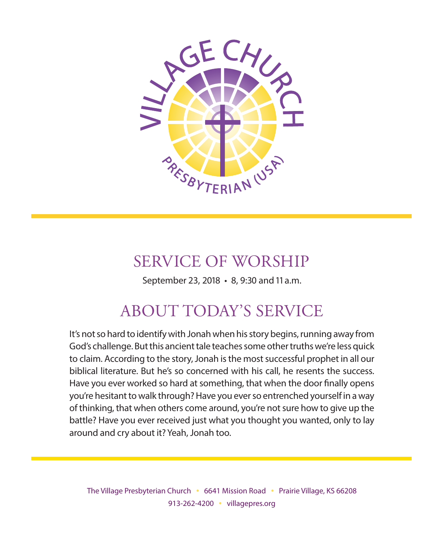

# SERVICE OF WORSHIP

September 23, 2018 • 8, 9:30 and 11 a.m.

# ABOUT TODAY'S SERVICE

It's not so hard to identify with Jonah when his story begins, running away from God's challenge. But this ancient tale teaches some other truths we're less quick to claim. According to the story, Jonah is the most successful prophet in all our biblical literature. But he's so concerned with his call, he resents the success. Have you ever worked so hard at something, that when the door finally opens you're hesitant to walk through? Have you ever so entrenched yourself in a way of thinking, that when others come around, you're not sure how to give up the battle? Have you ever received just what you thought you wanted, only to lay around and cry about it? Yeah, Jonah too.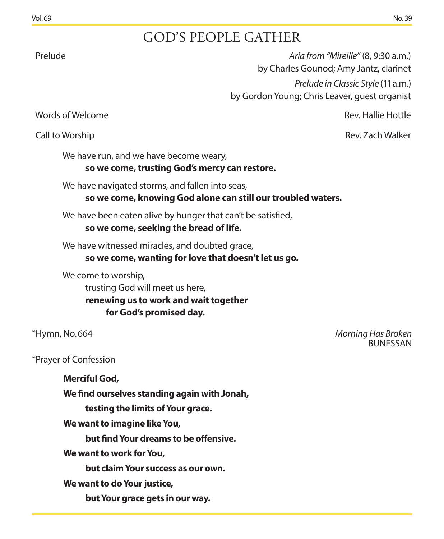# GOD'S PEOPLE GATHER

 Prelude *Aria from "Mireille"* (8, 9:30 a.m.) by Charles Gounod; Amy Jantz, clarinet

> *Prelude in Classic Style* (11 a.m.) by Gordon Young; Chris Leaver, guest organist

Words of Welcome **Rev. Hallie Hottle** 

Call to Worship **Call to Worship** Rev. Zach Walker

We have run, and we have become weary,

### **so we come, trusting God's mercy can restore.**

We have navigated storms, and fallen into seas,

**so we come, knowing God alone can still our troubled waters.**

We have been eaten alive by hunger that can't be satisfied,

**so we come, seeking the bread of life.**

We have witnessed miracles, and doubted grace, **so we come, wanting for love that doesn't let us go.**

We come to worship,

trusting God will meet us here, **renewing us to work and wait together for God's promised day.**

\*Hymn, No. 664 *Morning Has Broken* BUNESSAN

\*Prayer of Confession

**Merciful God,**

**We find ourselves standing again with Jonah,**

**testing the limits of Your grace.**

**We want to imagine like You,** 

**but find Your dreams to be offensive.**

**We want to work for You,**

**but claim Your success as our own.**

**We want to do Your justice,**

**but Your grace gets in our way.**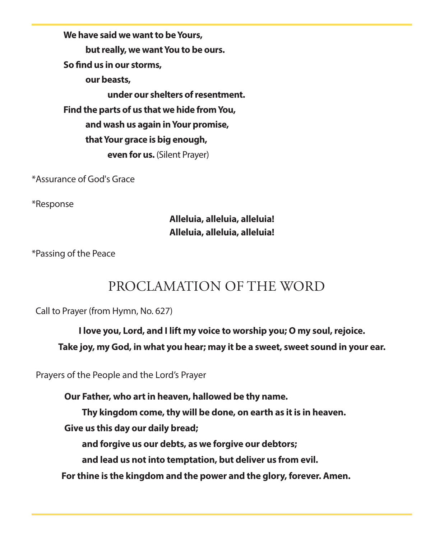**We have said we want to be Yours, but really, we want You to be ours. So find us in our storms, our beasts, under our shelters of resentment. Find the parts of us that we hide from You, and wash us again in Your promise, that Your grace is big enough, even for us.** (Silent Prayer)

\*Assurance of God's Grace

\*Response

### **Alleluia, alleluia, alleluia! Alleluia, alleluia, alleluia!**

\*Passing of the Peace

# PROCLAMATION OF THE WORD

Call to Prayer (from Hymn, No. 627)

**I love you, Lord, and I lift my voice to worship you; O my soul, rejoice. Take joy, my God, in what you hear; may it be a sweet, sweet sound in your ear.** 

Prayers of the People and the Lord's Prayer

**Our Father, who art in heaven, hallowed be thy name.**

**Thy kingdom come, thy will be done, on earth as it is in heaven.**

**Give us this day our daily bread;**

**and forgive us our debts, as we forgive our debtors;**

**and lead us not into temptation, but deliver us from evil.**

 **For thine is the kingdom and the power and the glory, forever. Amen.**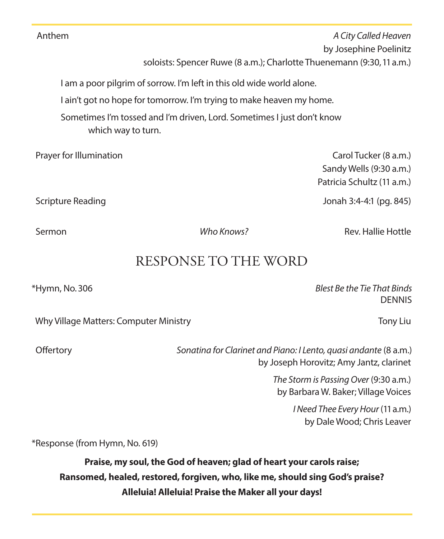| Anthem<br>soloists: Spencer Ruwe (8 a.m.); Charlotte Thuenemann (9:30, 11 a.m.)              | A City Called Heaven<br>by Josephine Poelinitz |
|----------------------------------------------------------------------------------------------|------------------------------------------------|
|                                                                                              |                                                |
| I am a poor pilgrim of sorrow. I'm left in this old wide world alone.                        |                                                |
| I ain't got no hope for tomorrow. I'm trying to make heaven my home.                         |                                                |
| Sometimes I'm tossed and I'm driven, Lord. Sometimes I just don't know<br>which way to turn. |                                                |
| Prayer for Illumination                                                                      | Carol Tucker (8 a.m.)                          |
|                                                                                              | Sandy Wells (9:30 a.m.)                        |
|                                                                                              | Patricia Schultz (11 a.m.)                     |

Scripture Reading Jonah 3:4-4:1 (pg. 845)

Sermon *Who Knows?* Rev. Hallie Hottle

## RESPONSE TO THE WORD

\*Hymn, No. 306 *Blest Be the Tie That Binds* **DENNIS** 

Why Village Matters: Computer Ministry **The Computer Strutters** Tony Liu

 Offertory *Sonatina for Clarinet and Piano: I Lento, quasi andante* (8 a.m.) by Joseph Horovitz; Amy Jantz, clarinet

> *The Storm is Passing Over* (9:30 a.m.) by Barbara W. Baker; Village Voices

> > *I Need Thee Every Hour* (11 a.m.) by Dale Wood; Chris Leaver

\*Response (from Hymn, No. 619)

**Praise, my soul, the God of heaven; glad of heart your carols raise; Ransomed, healed, restored, forgiven, who, like me, should sing God's praise? Alleluia! Alleluia! Praise the Maker all your days!**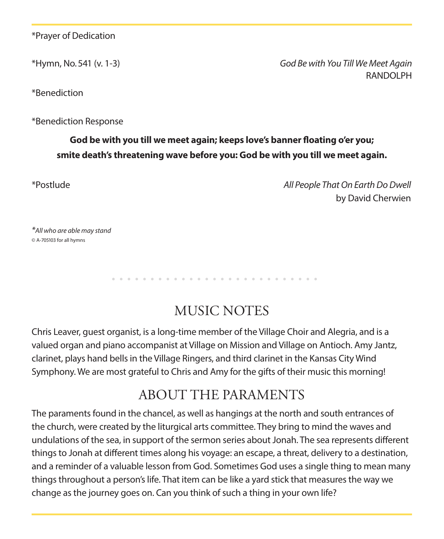\*Prayer of Dedication

\*Hymn, No. 541 (v. 1-3) *God Be with You Till We Meet Again* RANDOLPH

\*Benediction

\*Benediction Response

### **God be with you till we meet again; keeps love's banner floating o'er you; smite death's threatening wave before you: God be with you till we meet again.**

\*Postlude *All People That On Earth Do Dwell* by David Cherwien

*\*All who are able may stand* © A-705103 for all hymns

# MUSIC NOTES

Chris Leaver, guest organist, is a long-time member of the Village Choir and Alegria, and is a valued organ and piano accompanist at Village on Mission and Village on Antioch. Amy Jantz, clarinet, plays hand bells in the Village Ringers, and third clarinet in the Kansas City Wind Symphony. We are most grateful to Chris and Amy for the gifts of their music this morning!

# ABOUT THE PARAMENTS

The paraments found in the chancel, as well as hangings at the north and south entrances of the church, were created by the liturgical arts committee. They bring to mind the waves and undulations of the sea, in support of the sermon series about Jonah. The sea represents different things to Jonah at different times along his voyage: an escape, a threat, delivery to a destination, and a reminder of a valuable lesson from God. Sometimes God uses a single thing to mean many things throughout a person's life. That item can be like a yard stick that measures the way we change as the journey goes on. Can you think of such a thing in your own life?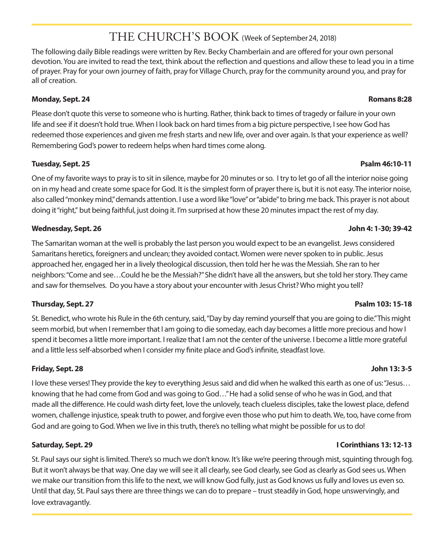## THE CHURCH'S BOOK (Week of September 24, 2018)

The following daily Bible readings were written by Rev. Becky Chamberlain and are offered for your own personal devotion. You are invited to read the text, think about the reflection and questions and allow these to lead you in a time of prayer. Pray for your own journey of faith, pray for Village Church, pray for the community around you, and pray for all of creation.

### **Monday, Sept. 24 Romans 8:28**

Please don't quote this verse to someone who is hurting. Rather, think back to times of tragedy or failure in your own life and see if it doesn't hold true. When I look back on hard times from a big picture perspective, I see how God has redeemed those experiences and given me fresh starts and new life, over and over again. Is that your experience as well? Remembering God's power to redeem helps when hard times come along.

### **Tuesday, Sept. 25 Psalm 46:10-11**

One of my favorite ways to pray is to sit in silence, maybe for 20 minutes or so. I try to let go of all the interior noise going on in my head and create some space for God. It is the simplest form of prayer there is, but it is not easy. The interior noise, also called "monkey mind," demands attention. I use a word like "love" or "abide" to bring me back. This prayer is not about doing it "right," but being faithful, just doing it. I'm surprised at how these 20 minutes impact the rest of my day.

### **Wednesday, Sept. 26 John 4: 1-30; 39-42**

The Samaritan woman at the well is probably the last person you would expect to be an evangelist. Jews considered Samaritans heretics, foreigners and unclean; they avoided contact. Women were never spoken to in public. Jesus approached her, engaged her in a lively theological discussion, then told her he was the Messiah. She ran to her neighbors: "Come and see…Could he be the Messiah?" She didn't have all the answers, but she told her story. They came and saw for themselves. Do you have a story about your encounter with Jesus Christ? Who might you tell?

### **Thursday, Sept. 27 Psalm 103: 15-18**

St. Benedict, who wrote his Rule in the 6th century, said, "Day by day remind yourself that you are going to die." This might seem morbid, but when I remember that I am going to die someday, each day becomes a little more precious and how I spend it becomes a little more important. I realize that I am not the center of the universe. I become a little more grateful and a little less self-absorbed when I consider my finite place and God's infinite, steadfast love.

### **Friday, Sept. 28 John 13: 3-5**

I love these verses! They provide the key to everything Jesus said and did when he walked this earth as one of us: "Jesus… knowing that he had come from God and was going to God…" He had a solid sense of who he was in God, and that made all the difference. He could wash dirty feet, love the unlovely, teach clueless disciples, take the lowest place, defend women, challenge injustice, speak truth to power, and forgive even those who put him to death. We, too, have come from God and are going to God. When we live in this truth, there's no telling what might be possible for us to do!

St. Paul says our sight is limited. There's so much we don't know. It's like we're peering through mist, squinting through fog. But it won't always be that way. One day we will see it all clearly, see God clearly, see God as clearly as God sees us. When we make our transition from this life to the next, we will know God fully, just as God knows us fully and loves us even so. Until that day, St. Paul says there are three things we can do to prepare – trust steadily in God, hope unswervingly, and love extravagantly.

### **Saturday, Sept. 29 I Corinthians 13: 12-13**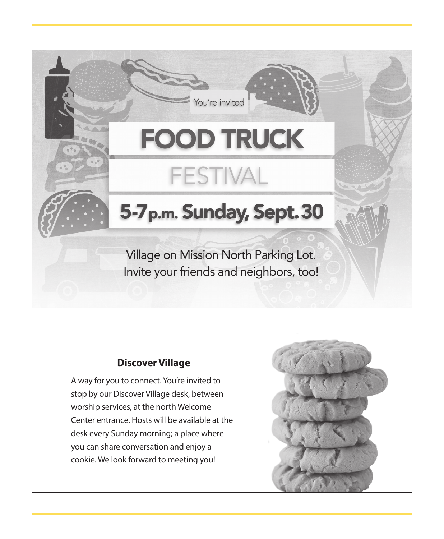

### **Discover Village**

A way for you to connect. You're invited to stop by our Discover Village desk, between worship services, at the north Welcome Center entrance. Hosts will be available at the desk every Sunday morning; a place where you can share conversation and enjoy a cookie. We look forward to meeting you!

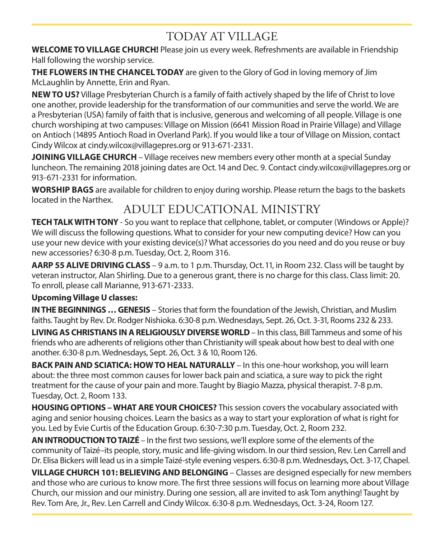# TODAY AT VILLAGE

**WELCOME TO VILLAGE CHURCH!** Please join us every week. Refreshments are available in Friendship Hall following the worship service.

**THE FLOWERS IN THE CHANCEL TODAY** are given to the Glory of God in loving memory of Jim McLaughlin by Annette, Erin and Ryan.

**NEW TO US?** Village Presbyterian Church is a family of faith actively shaped by the life of Christ to love one another, provide leadership for the transformation of our communities and serve the world. We are a Presbyterian (USA) family of faith that is inclusive, generous and welcoming of all people. Village is one church worshiping at two campuses: Village on Mission (6641 Mission Road in Prairie Village) and Village on Antioch (14895 Antioch Road in Overland Park). If you would like a tour of Village on Mission, contact Cindy Wilcox at cindy.wilcox@villagepres.org or 913-671-2331.

**JOINING VILLAGE CHURCH** – Village receives new members every other month at a special Sunday luncheon. The remaining 2018 joining dates are Oct. 14 and Dec. 9. Contact cindy.wilcox@villagepres.org or 913-671-2331 for information.

**WORSHIP BAGS** are available for children to enjoy during worship. Please return the bags to the baskets located in the Narthex.

## ADULT EDUCATIONAL MINISTRY

**TECH TALK WITH TONY** - So you want to replace that cellphone, tablet, or computer (Windows or Apple)? We will discuss the following questions. What to consider for your new computing device? How can you use your new device with your existing device(s)? What accessories do you need and do you reuse or buy new accessories? 6:30-8 p.m. Tuesday, Oct. 2, Room 316.

**AARP 55 ALIVE DRIVING CLASS** – 9 a.m. to 1 p.m. Thursday, Oct. 11, in Room 232. Class will be taught by veteran instructor, Alan Shirling. Due to a generous grant, there is no charge for this class. Class limit: 20. To enroll, please call Marianne, 913-671-2333.

### **Upcoming Village U classes:**

**IN THE BEGINNINGS … GENESIS** – Stories that form the foundation of the Jewish, Christian, and Muslim faiths. Taught by Rev. Dr. Rodger Nishioka. 6:30-8 p.m. Wednesdays, Sept. 26, Oct. 3-31, Rooms 232 & 233.

**LIVING AS CHRISTIANS IN A RELIGIOUSLY DIVERSE WORLD**– In this class, Bill Tammeus and some of his friends who are adherents of religions other than Christianity will speak about how best to deal with one another. 6:30-8 p.m. Wednesdays, Sept. 26, Oct. 3 & 10, Room 126.

**BACK PAIN AND SCIATICA: HOW TO HEAL NATURALLY** – In this one-hour workshop, you will learn about: the three most common causes for lower back pain and sciatica, a sure way to pick the right treatment for the cause of your pain and more. Taught by Biagio Mazza, physical therapist. 7-8 p.m. Tuesday, Oct. 2, Room 133.

**HOUSING OPTIONS – WHAT ARE YOUR CHOICES?** This session covers the vocabulary associated with aging and senior housing choices. Learn the basics as a way to start your exploration of what is right for you. Led by Evie Curtis of the Education Group. 6:30-7:30 p.m. Tuesday, Oct. 2, Room 232.

**AN INTRODUCTION TO TAIZÉ** – In the first two sessions, we'll explore some of the elements of the community of Taizé–its people, story, music and life-giving wisdom. In our third session, Rev. Len Carrell and Dr. Elisa Bickers will lead us in a simple Taizé-style evening vespers. 6:30-8 p.m. Wednesdays, Oct. 3-17, Chapel.

**VILLAGE CHURCH 101: BELIEVING AND BELONGING** – Classes are designed especially for new members and those who are curious to know more. The first three sessions will focus on learning more about Village Church, our mission and our ministry. During one session, all are invited to ask Tom anything! Taught by Rev. Tom Are, Jr., Rev. Len Carrell and Cindy Wilcox. 6:30-8 p.m. Wednesdays, Oct. 3-24, Room 127.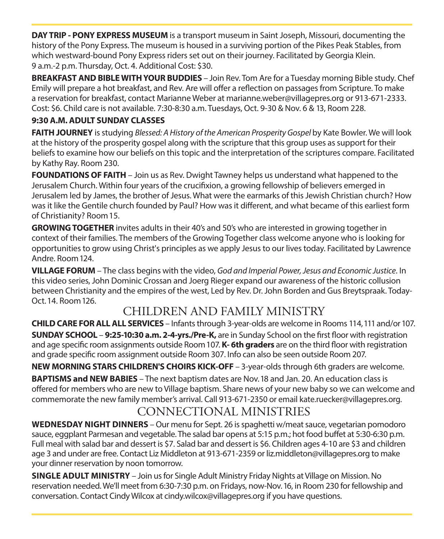**DAY TRIP - PONY EXPRESS MUSEUM** is a transport museum in Saint Joseph, Missouri, documenting the history of the Pony Express. The museum is housed in a surviving portion of the Pikes Peak Stables, from which westward-bound Pony Express riders set out on their journey. Facilitated by Georgia Klein. 9 a.m.-2 p.m. Thursday, Oct. 4. Additional Cost: \$30.

**BREAKFAST AND BIBLE WITH YOUR BUDDIES** – Join Rev. Tom Are for a Tuesday morning Bible study. Chef Emily will prepare a hot breakfast, and Rev. Are will offer a reflection on passages from Scripture. To make a reservation for breakfast, contact Marianne Weber at marianne.weber@villagepres.org or 913-671-2333. Cost: \$6. Child care is not available. 7:30-8:30 a.m. Tuesdays, Oct. 9-30 & Nov. 6 & 13, Room 228.

### **9:30 A.M. ADULT SUNDAY CLASSES**

**FAITH JOURNEY** is studying *Blessed: A History of the American Prosperity Gospel* by Kate Bowler. We will look at the history of the prosperity gospel along with the scripture that this group uses as support for their beliefs to examine how our beliefs on this topic and the interpretation of the scriptures compare. Facilitated by Kathy Ray. Room 230.

**FOUNDATIONS OF FAITH** – Join us as Rev. Dwight Tawney helps us understand what happened to the Jerusalem Church. Within four years of the crucifixion, a growing fellowship of believers emerged in Jerusalem led by James, the brother of Jesus. What were the earmarks of this Jewish Christian church? How was it like the Gentile church founded by Paul? How was it different, and what became of this earliest form of Christianity? Room 15.

**GROWING TOGETHER** invites adults in their 40's and 50's who are interested in growing together in context of their families. The members of the Growing Together class welcome anyone who is looking for opportunities to grow using Christ's principles as we apply Jesus to our lives today. Facilitated by Lawrence Andre. Room 124.

**VILLAGE FORUM** – The class begins with the video, *God and Imperial Power, Jesus and Economic Justice*. In this video series, John Dominic Crossan and Joerg Rieger expand our awareness of the historic collusion between Christianity and the empires of the west, Led by Rev. Dr. John Borden and Gus Breytspraak. Today-Oct. 14. Room 126.

## CHILDREN AND FAMILY MINISTRY

**CHILD CARE FOR ALL ALL SERVICES** – Infants through 3-year-olds are welcome in Rooms 114, 111 and/or 107. **SUNDAY SCHOOL** – **9:25-10:30 a.m. 2-4-yrs./Pre-K,** are in Sunday School on the first floor with registration and age specific room assignments outside Room 107. **K- 6th graders** are on the third floor with registration and grade specific room assignment outside Room 307. Info can also be seen outside Room 207.

**NEW MORNING STARS CHILDREN'S CHOIRS KICK-OFF** – 3-year-olds through 6th graders are welcome.

**BAPTISMS and NEW BABIES** – The next baptism dates are Nov. 18 and Jan. 20. An education class is offered for members who are new to Village baptism. Share news of your new baby so we can welcome and commemorate the new family member's arrival. Call 913-671-2350 or email kate.ruecker@villagepres.org.

## CONNECTIONAL MINISTRIES

**WEDNESDAY NIGHT DINNERS** – Our menu for Sept. 26 is spaghetti w/meat sauce, vegetarian pomodoro sauce, eggplant Parmesan and vegetable. The salad bar opens at 5:15 p.m.; hot food buffet at 5:30-6:30 p.m. Full meal with salad bar and dessert is \$7. Salad bar and dessert is \$6. Children ages 4-10 are \$3 and children age 3 and under are free. Contact Liz Middleton at 913-671-2359 or liz.middleton@villagepres.org to make your dinner reservation by noon tomorrow.

**SINGLE ADULT MINISTRY** – Join us for Single Adult Ministry Friday Nights at Village on Mission. No reservation needed. We'll meet from 6:30-7:30 p.m. on Fridays, now-Nov. 16, in Room 230 for fellowship and conversation. Contact Cindy Wilcox at cindy.wilcox@villagepres.org if you have questions.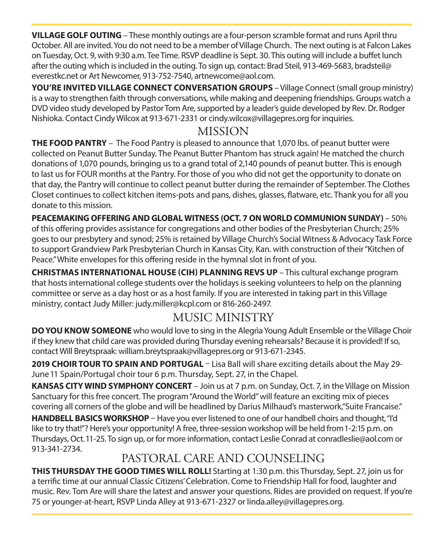**VILLAGE GOLF OUTING** – These monthly outings are a four-person scramble format and runs April thru October. All are invited. You do not need to be a member of Village Church. The next outing is at Falcon Lakes on Tuesday, Oct. 9, with 9:30 a.m. Tee Time. RSVP deadline is Sept. 30. This outing will include a buffet lunch after the outing which is included in the outing. To sign up, contact: Brad Steil, 913-469-5683, bradsteil@ everestkc.net or Art Newcomer, 913-752-7540, artnewcome@aol.com.

**YOU'RE INVITED VILLAGE CONNECT CONVERSATION GROUPS** – Village Connect (small group ministry) is a way to strengthen faith through conversations, while making and deepening friendships. Groups watch a DVD video study developed by Pastor Tom Are, supported by a leader's guide developed by Rev. Dr. Rodger Nishioka. Contact Cindy Wilcox at 913-671-2331 or cindy.wilcox@villagepres.org for inquiries.

## MISSION

**THE FOOD PANTRY** – The Food Pantry is pleased to announce that 1,070 lbs. of peanut butter were collected on Peanut Butter Sunday. The Peanut Butter Phantom has struck again! He matched the church donations of 1,070 pounds, bringing us to a grand total of 2,140 pounds of peanut butter. This is enough to last us for FOUR months at the Pantry. For those of you who did not get the opportunity to donate on that day, the Pantry will continue to collect peanut butter during the remainder of September. The Clothes Closet continues to collect kitchen items-pots and pans, dishes, glasses, flatware, etc. Thank you for all you donate to this mission.

**PEACEMAKING OFFERING AND GLOBAL WITNESS (OCT. 7 ON WORLD COMMUNION SUNDAY)** – 50% of this offering provides assistance for congregations and other bodies of the Presbyterian Church; 25% goes to our presbytery and synod; 25% is retained by Village Church's Social Witness & Advocacy Task Force to support Grandview Park Presbyterian Church in Kansas City, Kan. with construction of their "Kitchen of Peace." White envelopes for this offering reside in the hymnal slot in front of you.

**CHRISTMAS INTERNATIONAL HOUSE (CIH) PLANNING REVS UP** – This cultural exchange program that hosts international college students over the holidays is seeking volunteers to help on the planning committee or serve as a day host or as a host family. If you are interested in taking part in this Village ministry, contact Judy Miller: judy.miller@kcpl.com or 816-260-2497.

# MUSIC MINISTRY

**DO YOU KNOW SOMEONE** who would love to sing in the Alegrìa Young Adult Ensemble or the Village Choir if they knew that child care was provided during Thursday evening rehearsals? Because it is provided! If so, contact Will Breytspraak: william.breytspraak@villagepres.org or 913-671-2345.

**2019 CHOIR TOUR TO SPAIN AND PORTUGAL** – Lisa Ball will share exciting details about the May 29- June 11 Spain/Portugal choir tour 6 p.m. Thursday, Sept. 27, in the Chapel.

**KANSAS CITY WIND SYMPHONY CONCERT** – Join us at 7 p.m. on Sunday, Oct. 7, in the Village on Mission Sanctuary for this free concert. The program "Around the World" will feature an exciting mix of pieces covering all corners of the globe and will be headlined by Darius Milhaud's masterwork,"Suite Francaise."

**HANDBELL BASICS WORKSHOP** – Have you ever listened to one of our handbell choirs and thought, "I'd like to try that!"? Here's your opportunity! A free, three-session workshop will be held from 1-2:15 p.m. on Thursdays, Oct. 11-25. To sign up, or for more information, contact Leslie Conrad at conradleslie@aol.com or 913-341-2734.

# PASTORAL CARE AND COUNSELING

**THIS THURSDAY THE GOOD TIMES WILL ROLL!** Starting at 1:30 p.m. this Thursday, Sept. 27, join us for a terrific time at our annual Classic Citizens' Celebration. Come to Friendship Hall for food, laughter and music. Rev. Tom Are will share the latest and answer your questions. Rides are provided on request. If you're 75 or younger-at-heart, RSVP Linda Alley at 913-671-2327 or linda.alley@villagepres.org.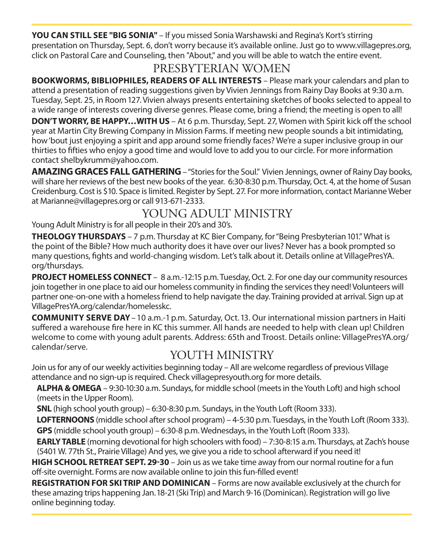**YOU CAN STILL SEE "BIG SONIA"** – If you missed Sonia Warshawski and Regina's Kort's stirring presentation on Thursday, Sept. 6, don't worry because it's available online. Just go to www.villagepres.org, click on Pastoral Care and Counseling, then "About," and you will be able to watch the entire event.

## PRESBYTERIAN WOMEN

**BOOKWORMS, BIBLIOPHILES, READERS OF ALL INTERESTS** – Please mark your calendars and plan to attend a presentation of reading suggestions given by Vivien Jennings from Rainy Day Books at 9:30 a.m. Tuesday, Sept. 25, in Room 127. Vivien always presents entertaining sketches of books selected to appeal to a wide range of interests covering diverse genres. Please come, bring a friend; the meeting is open to all!

**DON'T WORRY, BE HAPPY…WITH US** – At 6 p.m. Thursday, Sept. 27, Women with Spirit kick off the school year at Martin City Brewing Company in Mission Farms. If meeting new people sounds a bit intimidating, how 'bout just enjoying a spirit and app around some friendly faces? We're a super inclusive group in our thirties to fifties who enjoy a good time and would love to add you to our circle. For more information contact shelbykrumm@yahoo.com.

**AMAZING GRACES FALL GATHERING** – "Stories for the Soul." Vivien Jennings, owner of Rainy Day books, will share her reviews of the best new books of the year. 6:30-8:30 p.m. Thursday, Oct. 4, at the home of Susan Creidenburg. Cost is \$10. Space is limited. Register by Sept. 27. For more information, contact Marianne Weber at Marianne@villagepres.org or call 913-671-2333.

## YOUNG ADULT MINISTRY

Young Adult Ministry is for all people in their 20's and 30's.

**THEOLOGY THURSDAYS** – 7 p.m. Thursday at KC Bier Company, for "Being Presbyterian 101." What is the point of the Bible? How much authority does it have over our lives? Never has a book prompted so many questions, fights and world-changing wisdom. Let's talk about it. Details online at VillagePresYA. org/thursdays.

**PROJECT HOMELESS CONNECT** – 8 a.m.-12:15 p.m. Tuesday, Oct. 2. For one day our community resources join together in one place to aid our homeless community in finding the services they need! Volunteers will partner one-on-one with a homeless friend to help navigate the day. Training provided at arrival. Sign up at VillagePresYA.org/calendar/homelesskc.

**COMMUNITY SERVE DAY** – 10 a.m.-1 p.m. Saturday, Oct. 13. Our international mission partners in Haiti suffered a warehouse fire here in KC this summer. All hands are needed to help with clean up! Children welcome to come with young adult parents. Address: 65th and Troost. Details online: VillagePresYA.org/ calendar/serve.

## YOUTH MINISTRY

Join us for any of our weekly activities beginning today – All are welcome regardless of previous Village attendance and no sign-up is required. Check villagepresyouth.org for more details.

 **ALPHA & OMEGA** – 9:30-10:30 a.m. Sundays, for middle school (meets in the Youth Loft) and high school (meets in the Upper Room).

**SNL** (high school youth group) – 6:30-8:30 p.m. Sundays, in the Youth Loft (Room 333).

 **LOFTERNOONS** (middle school after school program) – 4-5:30 p.m. Tuesdays, in the Youth Loft (Room 333). **GPS** (middle school youth group) – 6:30-8 p.m. Wednesdays, in the Youth Loft (Room 333).

**EARLY TABLE** (morning devotional for high schoolers with food) – 7:30-8:15 a.m. Thursdays, at Zach's house (5401 W. 77th St., Prairie Village) And yes, we give you a ride to school afterward if you need it!

**HIGH SCHOOL RETREAT SEPT. 29-30** – Join us as we take time away from our normal routine for a fun off-site overnight. Forms are now available online to join this fun-filled event!

**REGISTRATION FOR SKI TRIP AND DOMINICAN** – Forms are now available exclusively at the church for these amazing trips happening Jan. 18-21 (Ski Trip) and March 9-16 (Dominican). Registration will go live online beginning today.